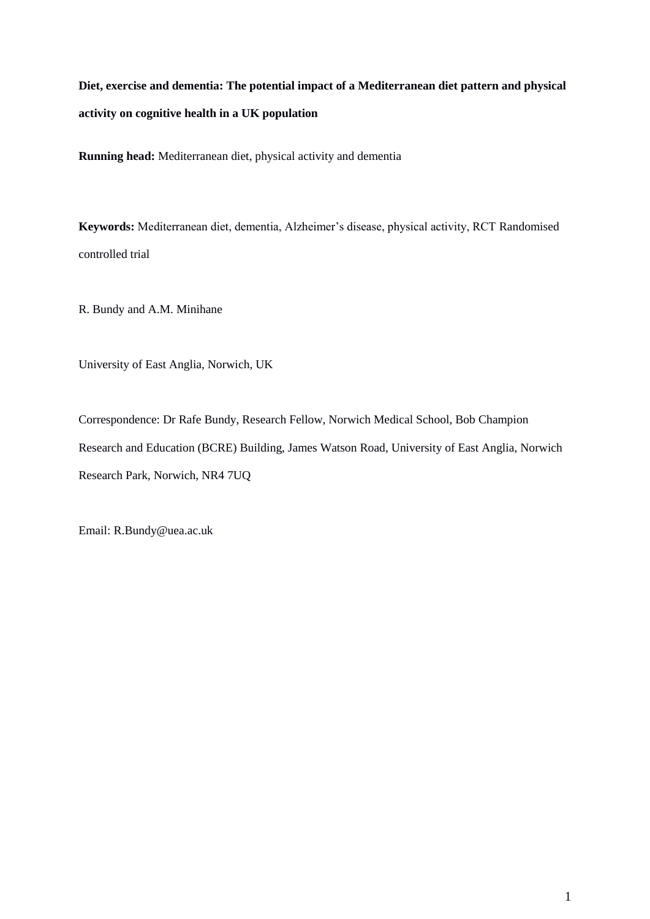**Diet, exercise and dementia: The potential impact of a Mediterranean diet pattern and physical activity on cognitive health in a UK population**

**Running head:** Mediterranean diet, physical activity and dementia

**Keywords:** Mediterranean diet, dementia, Alzheimer's disease, physical activity, RCT Randomised controlled trial

R. Bundy and A.M. Minihane

University of East Anglia, Norwich, UK

Correspondence: Dr Rafe Bundy, Research Fellow, Norwich Medical School, Bob Champion Research and Education (BCRE) Building, James Watson Road, University of East Anglia, Norwich Research Park, Norwich, NR4 7UQ

Email: R.Bundy@uea.ac.uk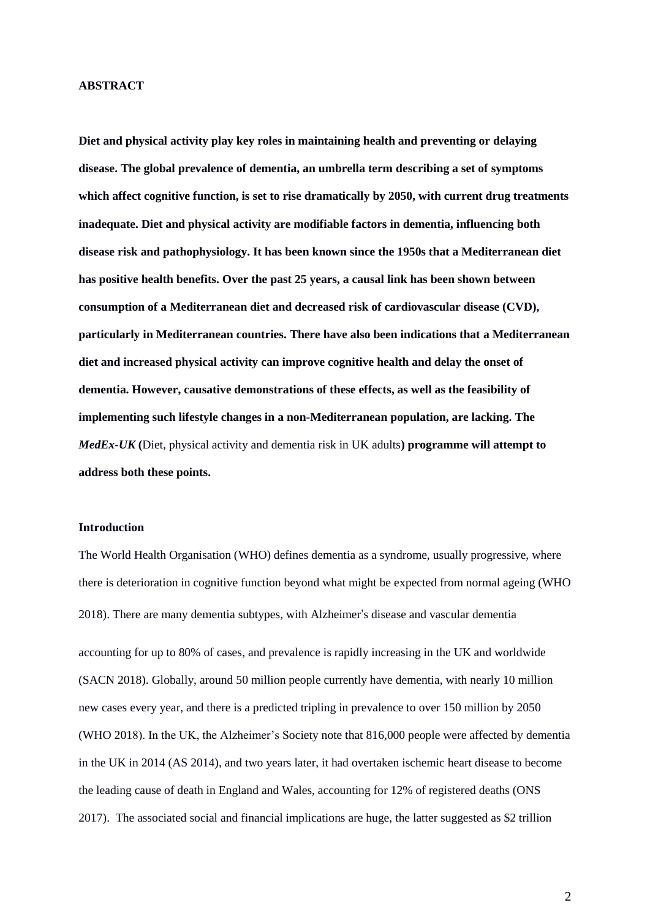#### **ABSTRACT**

**Diet and physical activity play key roles in maintaining health and preventing or delaying disease. The global prevalence of dementia, an umbrella term describing a set of symptoms which affect cognitive function, is set to rise dramatically by 2050, with current drug treatments inadequate. Diet and physical activity are modifiable factors in dementia, influencing both disease risk and pathophysiology. It has been known since the 1950s that a Mediterranean diet has positive health benefits. Over the past 25 years, a causal link has been shown between consumption of a Mediterranean diet and decreased risk of cardiovascular disease (CVD), particularly in Mediterranean countries. There have also been indications that a Mediterranean diet and increased physical activity can improve cognitive health and delay the onset of dementia. However, causative demonstrations of these effects, as well as the feasibility of implementing such lifestyle changes in a non-Mediterranean population, are lacking. The**  *MedEx-UK* **(**Diet, physical activity and dementia risk in UK adults**) programme will attempt to address both these points.** 

## **Introduction**

The World Health Organisation (WHO) defines dementia as a syndrome, usually progressive, where there is deterioration in cognitive function beyond what might be expected from normal ageing (WHO 2018). There are many dementia subtypes, with Alzheimer's disease and vascular dementia accounting for up to 80% of cases, and prevalence is rapidly increasing in the UK and worldwide (SACN 2018). Globally, around 50 million people currently have dementia, with nearly 10 million new cases every year, and there is a predicted tripling in prevalence to over 150 million by 2050 (WHO 2018). In the UK, the Alzheimer's Society note that 816,000 people were affected by dementia in the UK in 2014 (AS 2014), and two years later, it had overtaken ischemic heart disease to become the leading cause of death in England and Wales, accounting for 12% of registered deaths (ONS 2017). The associated social and financial implications are huge, the latter suggested as \$2 trillion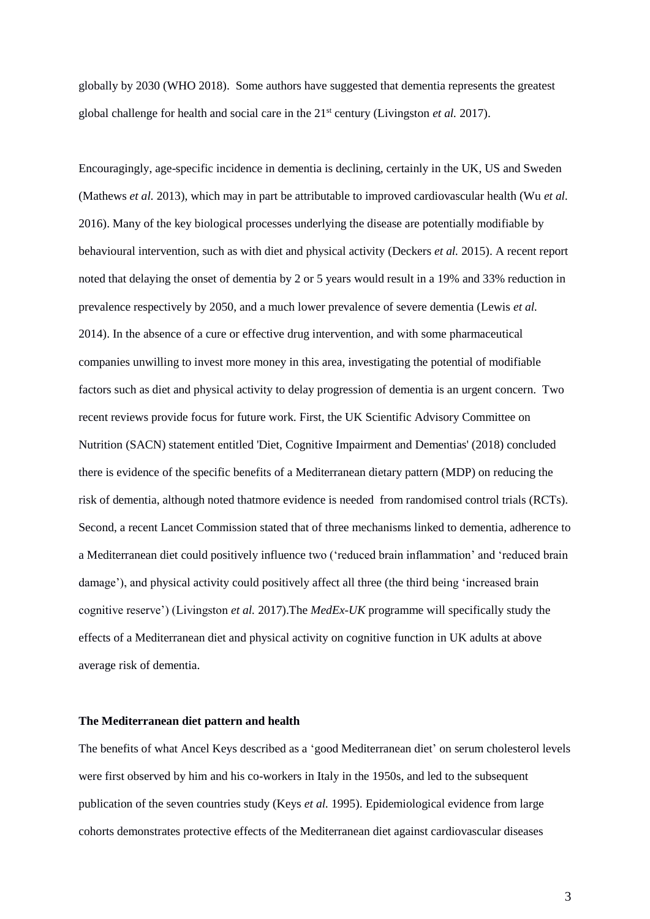globally by 2030 (WHO 2018). Some authors have suggested that dementia represents the greatest global challenge for health and social care in the 21<sup>st</sup> century (Livingston *et al.* 2017).

Encouragingly, age-specific incidence in dementia is declining, certainly in the UK, US and Sweden (Mathews *et al.* 2013), which may in part be attributable to improved cardiovascular health (Wu *et al.* 2016). Many of the key biological processes underlying the disease are potentially modifiable by behavioural intervention, such as with diet and physical activity (Deckers *et al.* 2015). A recent report noted that delaying the onset of dementia by 2 or 5 years would result in a 19% and 33% reduction in prevalence respectively by 2050, and a much lower prevalence of severe dementia (Lewis *et al.* 2014). In the absence of a cure or effective drug intervention, and with some pharmaceutical companies unwilling to invest more money in this area, investigating the potential of modifiable factors such as diet and physical activity to delay progression of dementia is an urgent concern. Two recent reviews provide focus for future work. First, the UK Scientific Advisory Committee on Nutrition (SACN) statement entitled 'Diet, Cognitive Impairment and Dementias' (2018) concluded there is evidence of the specific benefits of a Mediterranean dietary pattern (MDP) on reducing the risk of dementia, although noted thatmore evidence is needed from randomised control trials (RCTs). Second, a recent Lancet Commission stated that of three mechanisms linked to dementia, adherence to a Mediterranean diet could positively influence two ('reduced brain inflammation' and 'reduced brain damage'), and physical activity could positively affect all three (the third being 'increased brain cognitive reserve') (Livingston *et al.* 2017).The *MedEx-UK* programme will specifically study the effects of a Mediterranean diet and physical activity on cognitive function in UK adults at above average risk of dementia.

#### **The Mediterranean diet pattern and health**

The benefits of what Ancel Keys described as a 'good Mediterranean diet' on serum cholesterol levels were first observed by him and his co-workers in Italy in the 1950s, and led to the subsequent publication of the seven countries study (Keys *et al.* 1995). Epidemiological evidence from large cohorts demonstrates protective effects of the Mediterranean diet against cardiovascular diseases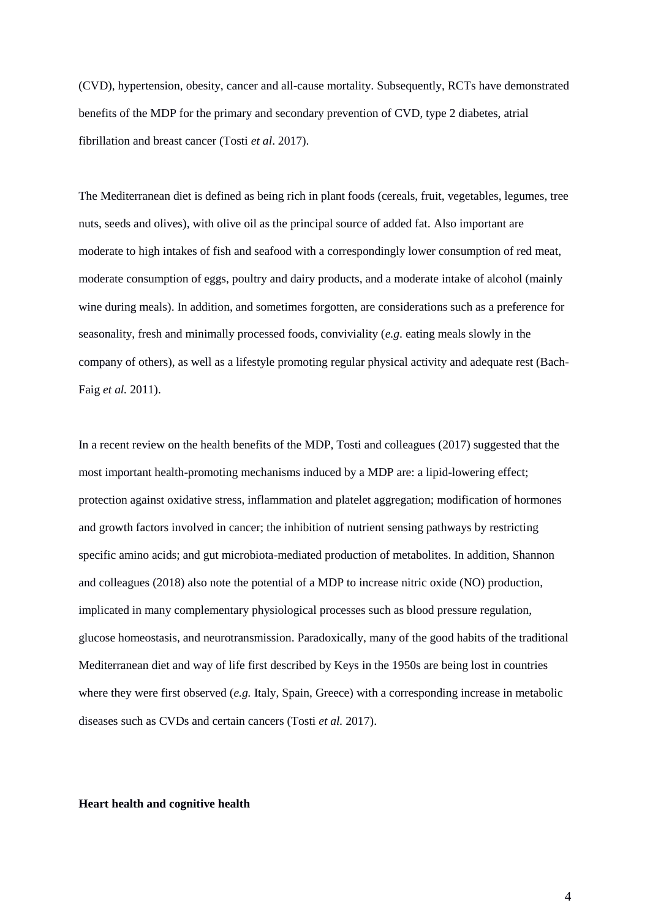(CVD), hypertension, obesity, cancer and all-cause mortality. Subsequently, RCTs have demonstrated benefits of the MDP for the primary and secondary prevention of CVD, type 2 diabetes, atrial fibrillation and breast cancer (Tosti *et al*. 2017).

The Mediterranean diet is defined as being rich in plant foods (cereals, fruit, vegetables, legumes, tree nuts, seeds and olives), with olive oil as the principal source of added fat. Also important are moderate to high intakes of fish and seafood with a correspondingly lower consumption of red meat, moderate consumption of eggs, poultry and dairy products, and a moderate intake of alcohol (mainly wine during meals). In addition, and sometimes forgotten, are considerations such as a preference for seasonality, fresh and minimally processed foods, conviviality (*e.g*. eating meals slowly in the company of others), as well as a lifestyle promoting regular physical activity and adequate rest (Bach-Faig *et al.* 2011).

In a recent review on the health benefits of the MDP, Tosti and colleagues (2017) suggested that the most important health-promoting mechanisms induced by a MDP are: a lipid-lowering effect; protection against oxidative stress, inflammation and platelet aggregation; modification of hormones and growth factors involved in cancer; the inhibition of nutrient sensing pathways by restricting specific amino acids; and gut microbiota-mediated production of metabolites. In addition, Shannon and colleagues (2018) also note the potential of a MDP to increase nitric oxide (NO) production, implicated in many complementary physiological processes such as blood pressure regulation, glucose homeostasis, and neurotransmission. Paradoxically, many of the good habits of the traditional Mediterranean diet and way of life first described by Keys in the 1950s are being lost in countries where they were first observed (*e.g.* Italy, Spain, Greece) with a corresponding increase in metabolic diseases such as CVDs and certain cancers (Tosti *et al.* 2017).

#### **Heart health and cognitive health**

4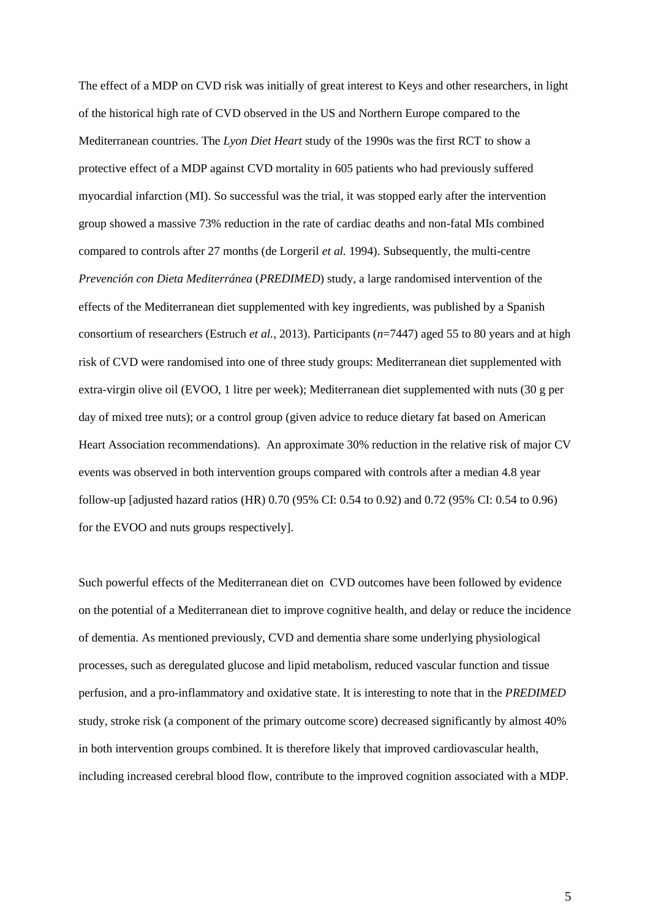The effect of a MDP on CVD risk was initially of great interest to Keys and other researchers, in light of the historical high rate of CVD observed in the US and Northern Europe compared to the Mediterranean countries. The *Lyon Diet Heart* study of the 1990s was the first RCT to show a protective effect of a MDP against CVD mortality in 605 patients who had previously suffered myocardial infarction (MI). So successful was the trial, it was stopped early after the intervention group showed a massive 73% reduction in the rate of cardiac deaths and non-fatal MIs combined compared to controls after 27 months (de Lorgeril *et al.* 1994). Subsequently, the multi-centre *Prevención con Dieta Mediterránea* (*PREDIMED*) study, a large randomised intervention of the effects of the Mediterranean diet supplemented with key ingredients, was published by a Spanish consortium of researchers (Estruch *et al.*, 2013). Participants (*n*=7447) aged 55 to 80 years and at high risk of CVD were randomised into one of three study groups: Mediterranean diet supplemented with extra-virgin olive oil (EVOO, 1 litre per week); Mediterranean diet supplemented with nuts (30 g per day of mixed tree nuts); or a control group (given advice to reduce dietary fat based on American Heart Association recommendations). An approximate 30% reduction in the relative risk of major CV events was observed in both intervention groups compared with controls after a median 4.8 year follow-up [adjusted hazard ratios (HR) 0.70 (95% CI: 0.54 to 0.92) and 0.72 (95% CI: 0.54 to 0.96) for the EVOO and nuts groups respectively].

Such powerful effects of the Mediterranean diet on CVD outcomes have been followed by evidence on the potential of a Mediterranean diet to improve cognitive health, and delay or reduce the incidence of dementia. As mentioned previously, CVD and dementia share some underlying physiological processes, such as deregulated glucose and lipid metabolism, reduced vascular function and tissue perfusion, and a pro-inflammatory and oxidative state. It is interesting to note that in the *PREDIMED* study, stroke risk (a component of the primary outcome score) decreased significantly by almost 40% in both intervention groups combined. It is therefore likely that improved cardiovascular health, including increased cerebral blood flow, contribute to the improved cognition associated with a MDP.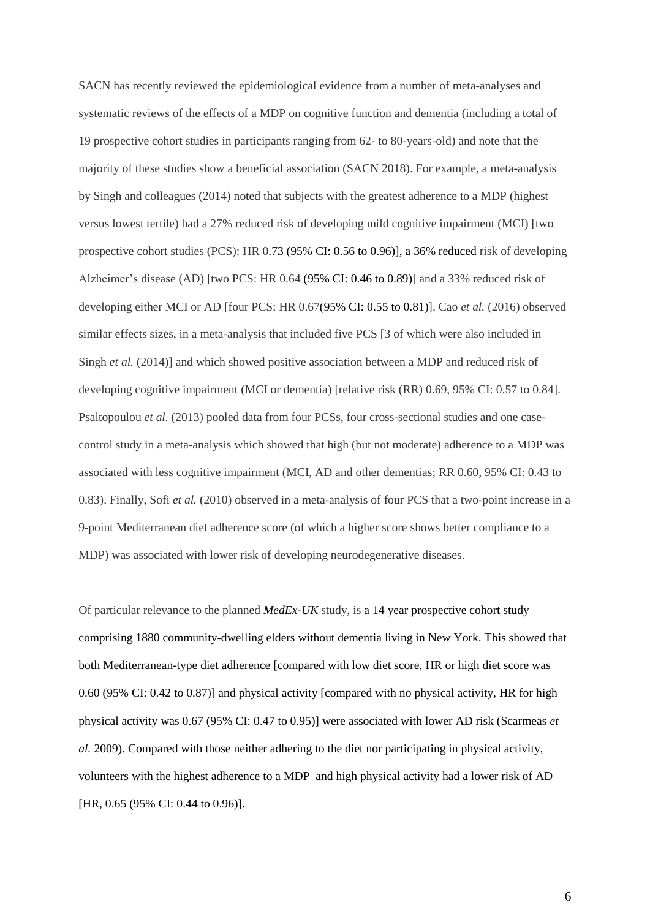SACN has recently reviewed the epidemiological evidence from a number of meta-analyses and systematic reviews of the effects of a MDP on cognitive function and dementia (including a total of 19 prospective cohort studies in participants ranging from 62- to 80-years-old) and note that the majority of these studies show a beneficial association (SACN 2018). For example, a meta-analysis by Singh and colleagues (2014) noted that subjects with the greatest adherence to a MDP (highest versus lowest tertile) had a 27% reduced risk of developing mild cognitive impairment (MCI) [two prospective cohort studies (PCS): HR 0.73 (95% CI: 0.56 to 0.96)], a 36% reduced risk of developing Alzheimer's disease (AD) [two PCS: HR 0.64 (95% CI: 0.46 to 0.89)] and a 33% reduced risk of developing either MCI or AD [four PCS: HR 0.67(95% CI: 0.55 to 0.81)]. Cao *et al.* (2016) observed similar effects sizes, in a meta-analysis that included five PCS [3 of which were also included in Singh *et al.* (2014)] and which showed positive association between a MDP and reduced risk of developing cognitive impairment (MCI or dementia) [relative risk (RR) 0.69, 95% CI: 0.57 to 0.84]. Psaltopoulou *et al.* (2013) pooled data from four PCSs, four cross-sectional studies and one casecontrol study in a meta-analysis which showed that high (but not moderate) adherence to a MDP was associated with less cognitive impairment (MCI, AD and other dementias; RR 0.60, 95% CI: 0.43 to 0.83). Finally, Sofi *et al.* (2010) observed in a meta-analysis of four PCS that a two-point increase in a 9-point Mediterranean diet adherence score (of which a higher score shows better compliance to a MDP) was associated with lower risk of developing neurodegenerative diseases.

Of particular relevance to the planned *MedEx-UK* study, is a 14 year prospective cohort study comprising 1880 community-dwelling elders without dementia living in New York. This showed that both Mediterranean-type diet adherence [compared with low diet score, HR or high diet score was 0.60 (95% CI: 0.42 to 0.87)] and physical activity [compared with no physical activity, HR for high physical activity was 0.67 (95% CI: 0.47 to 0.95)] were associated with lower AD risk (Scarmeas *et al.* 2009). Compared with those neither adhering to the diet nor participating in physical activity, volunteers with the highest adherence to a MDP and high physical activity had a lower risk of AD [HR, 0.65 (95% CI: 0.44 to 0.96)].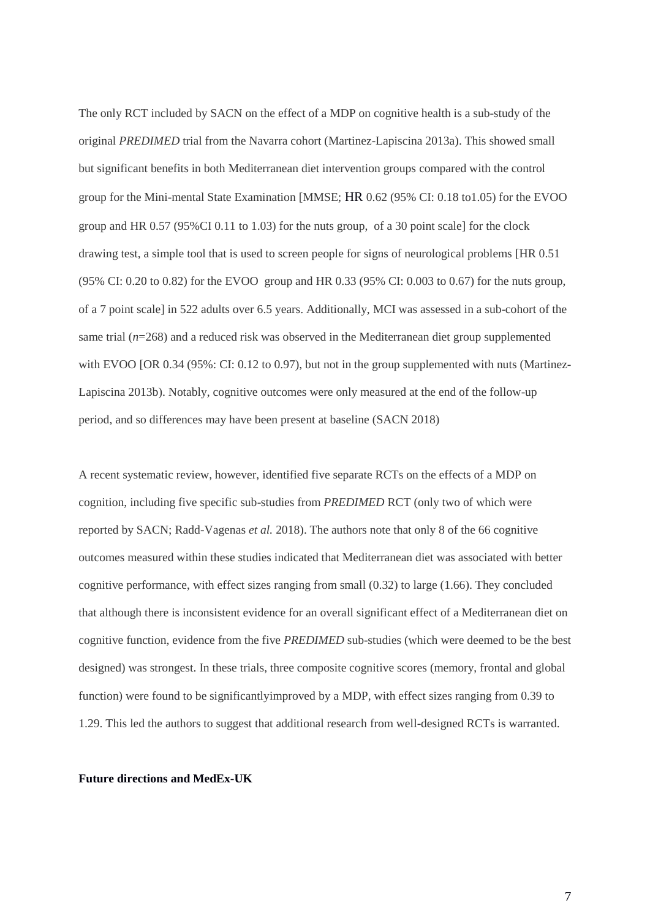The only RCT included by SACN on the effect of a MDP on cognitive health is a sub-study of the original *PREDIMED* trial from the Navarra cohort (Martinez-Lapiscina 2013a). This showed small but significant benefits in both Mediterranean diet intervention groups compared with the control group for the Mini-mental State Examination [MMSE; HR 0.62 (95% CI: 0.18 to1.05) for the EVOO group and HR 0.57 (95%CI 0.11 to 1.03) for the nuts group, of a 30 point scale] for the clock drawing test, a simple tool that is used to screen people for signs of neurological problems [HR 0.51 (95% CI: 0.20 to 0.82) for the EVOO group and HR 0.33 (95% CI: 0.003 to 0.67) for the nuts group, of a 7 point scale] in 522 adults over 6.5 years. Additionally, MCI was assessed in a sub-cohort of the same trial (*n*=268) and a reduced risk was observed in the Mediterranean diet group supplemented with EVOO [OR 0.34 (95%: CI: 0.12 to 0.97), but not in the group supplemented with nuts (Martinez-Lapiscina 2013b). Notably, cognitive outcomes were only measured at the end of the follow-up period, and so differences may have been present at baseline (SACN 2018)

A recent systematic review, however, identified five separate RCTs on the effects of a MDP on cognition, including five specific sub-studies from *PREDIMED* RCT (only two of which were reported by SACN; Radd-Vagenas *et al.* 2018). The authors note that only 8 of the 66 cognitive outcomes measured within these studies indicated that Mediterranean diet was associated with better cognitive performance, with effect sizes ranging from small  $(0.32)$  to large  $(1.66)$ . They concluded that although there is inconsistent evidence for an overall significant effect of a Mediterranean diet on cognitive function, evidence from the five *PREDIMED* sub-studies (which were deemed to be the best designed) was strongest. In these trials, three composite cognitive scores (memory, frontal and global function) were found to be significantlyimproved by a MDP, with effect sizes ranging from 0.39 to 1.29. This led the authors to suggest that additional research from well-designed RCTs is warranted.

## **Future directions and MedEx-UK**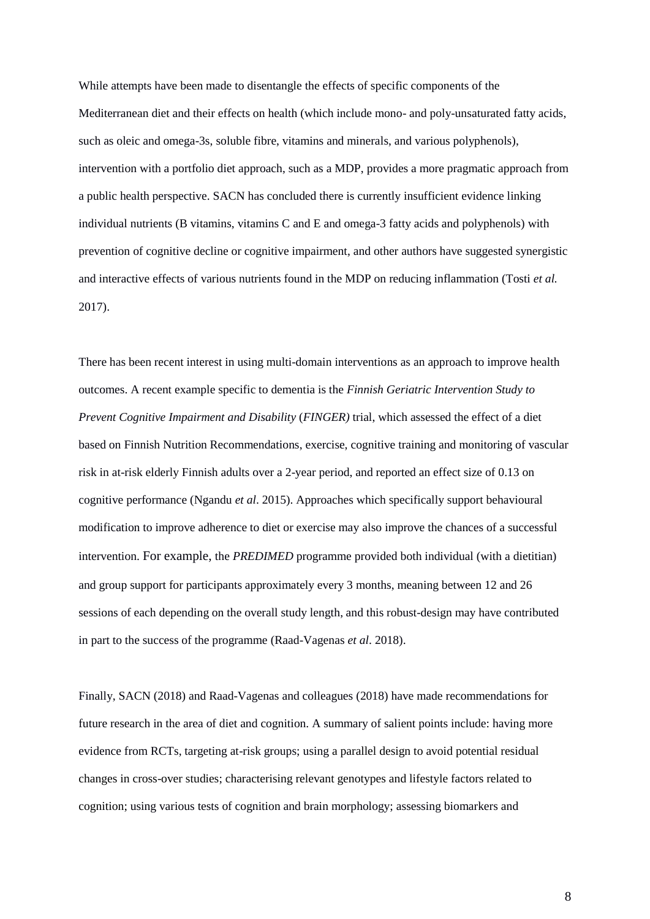While attempts have been made to disentangle the effects of specific components of the Mediterranean diet and their effects on health (which include mono- and poly-unsaturated fatty acids, such as oleic and omega-3s, soluble fibre, vitamins and minerals, and various polyphenols), intervention with a portfolio diet approach, such as a MDP, provides a more pragmatic approach from a public health perspective. SACN has concluded there is currently insufficient evidence linking individual nutrients (B vitamins, vitamins C and E and omega-3 fatty acids and polyphenols) with prevention of cognitive decline or cognitive impairment, and other authors have suggested synergistic and interactive effects of various nutrients found in the MDP on reducing inflammation (Tosti *et al.* 2017).

There has been recent interest in using multi-domain interventions as an approach to improve health outcomes. A recent example specific to dementia is the *Finnish Geriatric Intervention Study to Prevent Cognitive Impairment and Disability* (*FINGER)* trial, which assessed the effect of a diet based on Finnish Nutrition Recommendations, exercise, cognitive training and monitoring of vascular risk in at-risk elderly Finnish adults over a 2-year period, and reported an effect size of 0.13 on cognitive performance (Ngandu *et al*. 2015). Approaches which specifically support behavioural modification to improve adherence to diet or exercise may also improve the chances of a successful intervention. For example, the *PREDIMED* programme provided both individual (with a dietitian) and group support for participants approximately every 3 months, meaning between 12 and 26 sessions of each depending on the overall study length, and this robust-design may have contributed in part to the success of the programme (Raad-Vagenas *et al*. 2018).

Finally, SACN (2018) and Raad-Vagenas and colleagues (2018) have made recommendations for future research in the area of diet and cognition. A summary of salient points include: having more evidence from RCTs, targeting at-risk groups; using a parallel design to avoid potential residual changes in cross-over studies; characterising relevant genotypes and lifestyle factors related to cognition; using various tests of cognition and brain morphology; assessing biomarkers and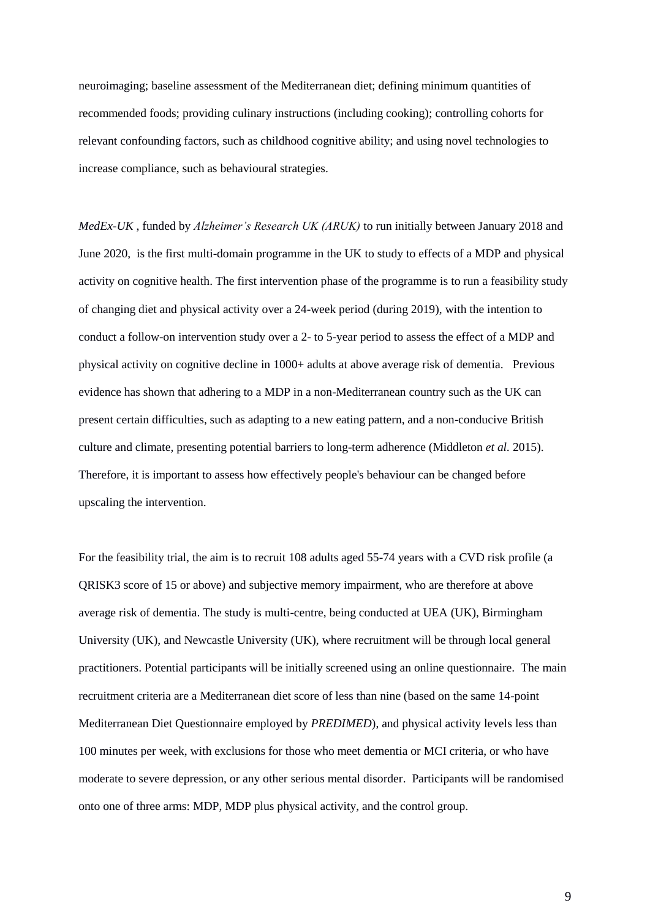neuroimaging; baseline assessment of the Mediterranean diet; defining minimum quantities of recommended foods; providing culinary instructions (including cooking); controlling cohorts for relevant confounding factors, such as childhood cognitive ability; and using novel technologies to increase compliance, such as behavioural strategies.

*MedEx-UK* , funded by *Alzheimer's Research UK (ARUK)* to run initially between January 2018 and June 2020, is the first multi-domain programme in the UK to study to effects of a MDP and physical activity on cognitive health. The first intervention phase of the programme is to run a feasibility study of changing diet and physical activity over a 24-week period (during 2019), with the intention to conduct a follow-on intervention study over a 2- to 5-year period to assess the effect of a MDP and physical activity on cognitive decline in 1000+ adults at above average risk of dementia. Previous evidence has shown that adhering to a MDP in a non-Mediterranean country such as the UK can present certain difficulties, such as adapting to a new eating pattern, and a non-conducive British culture and climate, presenting potential barriers to long-term adherence (Middleton *et al.* 2015). Therefore, it is important to assess how effectively people's behaviour can be changed before upscaling the intervention.

For the feasibility trial, the aim is to recruit 108 adults aged 55-74 years with a CVD risk profile (a QRISK3 score of 15 or above) and subjective memory impairment, who are therefore at above average risk of dementia. The study is multi-centre, being conducted at UEA (UK), Birmingham University (UK), and Newcastle University (UK), where recruitment will be through local general practitioners. Potential participants will be initially screened using an online questionnaire. The main recruitment criteria are a Mediterranean diet score of less than nine (based on the same 14-point Mediterranean Diet Questionnaire employed by *PREDIMED*), and physical activity levels less than 100 minutes per week, with exclusions for those who meet dementia or MCI criteria, or who have moderate to severe depression, or any other serious mental disorder. Participants will be randomised onto one of three arms: MDP, MDP plus physical activity, and the control group.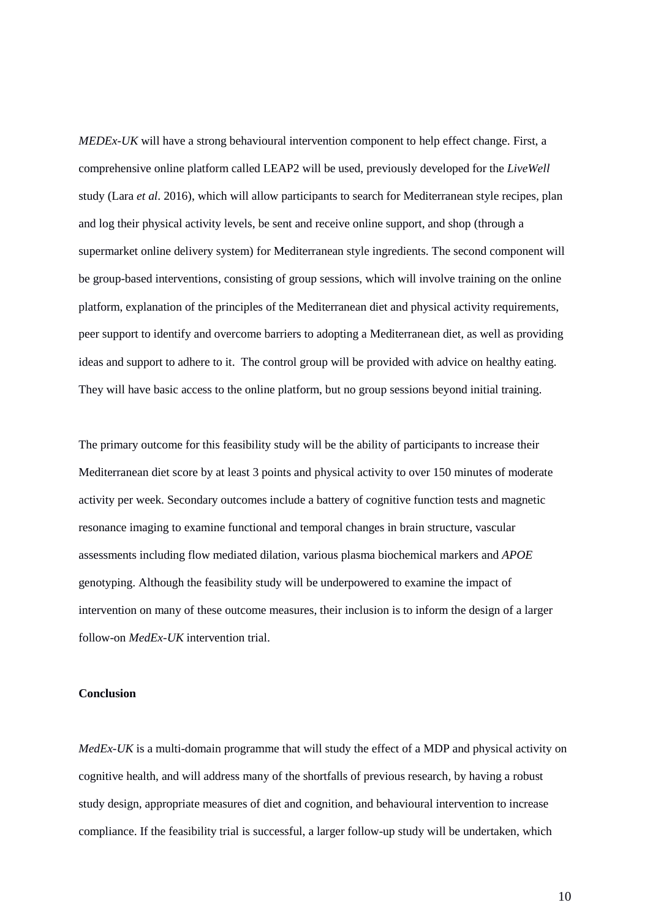*MEDEx-UK* will have a strong behavioural intervention component to help effect change. First, a comprehensive online platform called LEAP2 will be used, previously developed for the *LiveWell* study (Lara *et al*. 2016), which will allow participants to search for Mediterranean style recipes, plan and log their physical activity levels, be sent and receive online support, and shop (through a supermarket online delivery system) for Mediterranean style ingredients. The second component will be group-based interventions, consisting of group sessions, which will involve training on the online platform, explanation of the principles of the Mediterranean diet and physical activity requirements, peer support to identify and overcome barriers to adopting a Mediterranean diet, as well as providing ideas and support to adhere to it. The control group will be provided with advice on healthy eating. They will have basic access to the online platform, but no group sessions beyond initial training.

The primary outcome for this feasibility study will be the ability of participants to increase their Mediterranean diet score by at least 3 points and physical activity to over 150 minutes of moderate activity per week. Secondary outcomes include a battery of cognitive function tests and magnetic resonance imaging to examine functional and temporal changes in brain structure, vascular assessments including flow mediated dilation, various plasma biochemical markers and *APOE*  genotyping. Although the feasibility study will be underpowered to examine the impact of intervention on many of these outcome measures, their inclusion is to inform the design of a larger follow-on *MedEx-UK* intervention trial.

# **Conclusion**

*MedEx-UK* is a multi-domain programme that will study the effect of a MDP and physical activity on cognitive health, and will address many of the shortfalls of previous research, by having a robust study design, appropriate measures of diet and cognition, and behavioural intervention to increase compliance. If the feasibility trial is successful, a larger follow-up study will be undertaken, which

10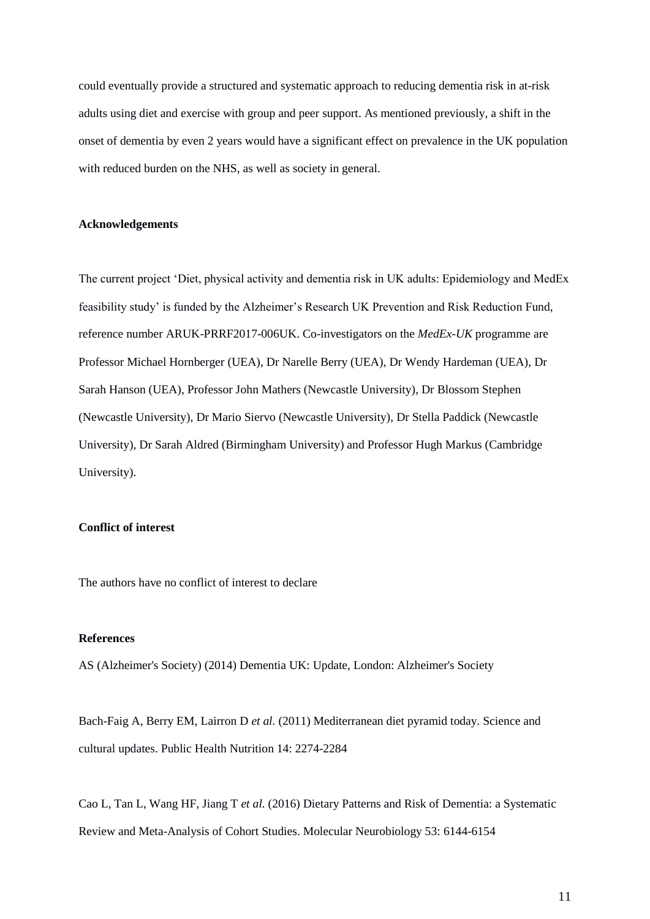could eventually provide a structured and systematic approach to reducing dementia risk in at-risk adults using diet and exercise with group and peer support. As mentioned previously, a shift in the onset of dementia by even 2 years would have a significant effect on prevalence in the UK population with reduced burden on the NHS, as well as society in general.

# **Acknowledgements**

The current project 'Diet, physical activity and dementia risk in UK adults: Epidemiology and MedEx feasibility study' is funded by the Alzheimer's Research UK Prevention and Risk Reduction Fund, reference number ARUK-PRRF2017-006UK. Co-investigators on the *MedEx-UK* programme are Professor Michael Hornberger (UEA), Dr Narelle Berry (UEA), Dr Wendy Hardeman (UEA), Dr Sarah Hanson (UEA), Professor John Mathers (Newcastle University), Dr Blossom Stephen (Newcastle University), Dr Mario Siervo (Newcastle University), Dr Stella Paddick (Newcastle University), Dr Sarah Aldred (Birmingham University) and Professor Hugh Markus (Cambridge University).

# **Conflict of interest**

The authors have no conflict of interest to declare

## **References**

AS (Alzheimer's Society) (2014) Dementia UK: Update, London: Alzheimer's Society

Bach-Faig A, Berry EM, Lairron D *et al.* (2011) Mediterranean diet pyramid today. Science and cultural updates. Public Health Nutrition 14: 2274-2284

Cao L, Tan L, Wang HF, Jiang T *et al.* (2016) Dietary Patterns and Risk of Dementia: a Systematic Review and Meta-Analysis of Cohort Studies. Molecular Neurobiology 53: 6144-6154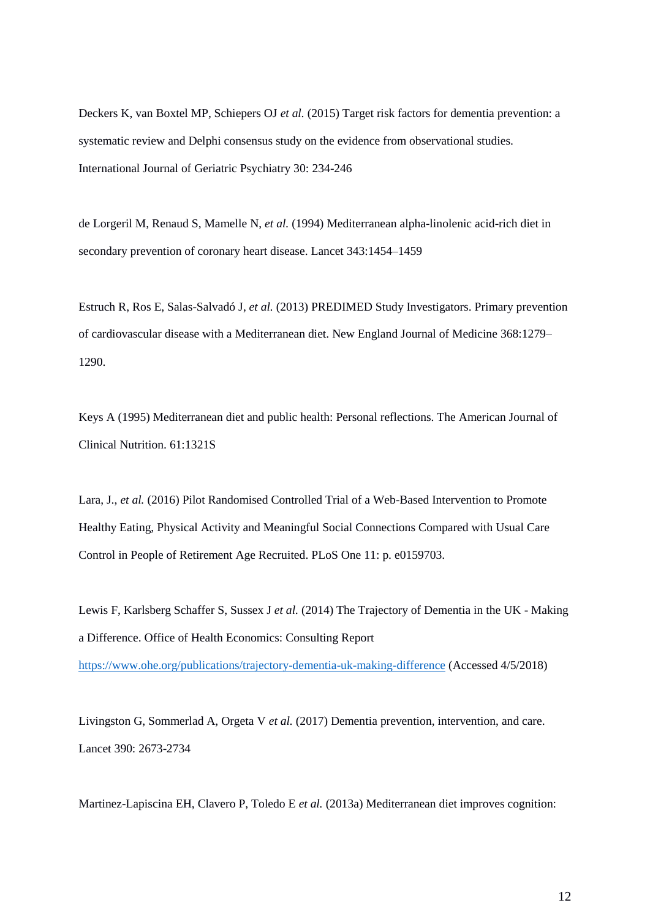Deckers K, van Boxtel MP, Schiepers OJ *et al.* (2015) Target risk factors for dementia prevention: a systematic review and Delphi consensus study on the evidence from observational studies. International Journal of Geriatric Psychiatry 30: 234-246

de Lorgeril M, Renaud S, Mamelle N, *et al.* (1994) Mediterranean alpha-linolenic acid-rich diet in secondary prevention of coronary heart disease. Lancet 343:1454–1459

Estruch R, Ros E, Salas-Salvadó J, *et al.* (2013) PREDIMED Study Investigators. Primary prevention of cardiovascular disease with a Mediterranean diet. New England Journal of Medicine 368:1279– 1290.

Keys A (1995) Mediterranean diet and public health: Personal reflections. The American Journal of Clinical Nutrition. 61:1321S

Lara, J., *et al.* (2016) Pilot Randomised Controlled Trial of a Web-Based Intervention to Promote Healthy Eating, Physical Activity and Meaningful Social Connections Compared with Usual Care Control in People of Retirement Age Recruited. PLoS One 11: p. e0159703.

Lewis F, Karlsberg Schaffer S, Sussex J *et al.* (2014) The Trajectory of Dementia in the UK - Making a Difference. Office of Health Economics: Consulting Report

<https://www.ohe.org/publications/trajectory-dementia-uk-making-difference> (Accessed 4/5/2018)

Livingston G, Sommerlad A, Orgeta V *et al.* (2017) Dementia prevention, intervention, and care. Lancet 390: 2673-2734

Martinez-Lapiscina EH, Clavero P, Toledo E *et al.* (2013a) Mediterranean diet improves cognition: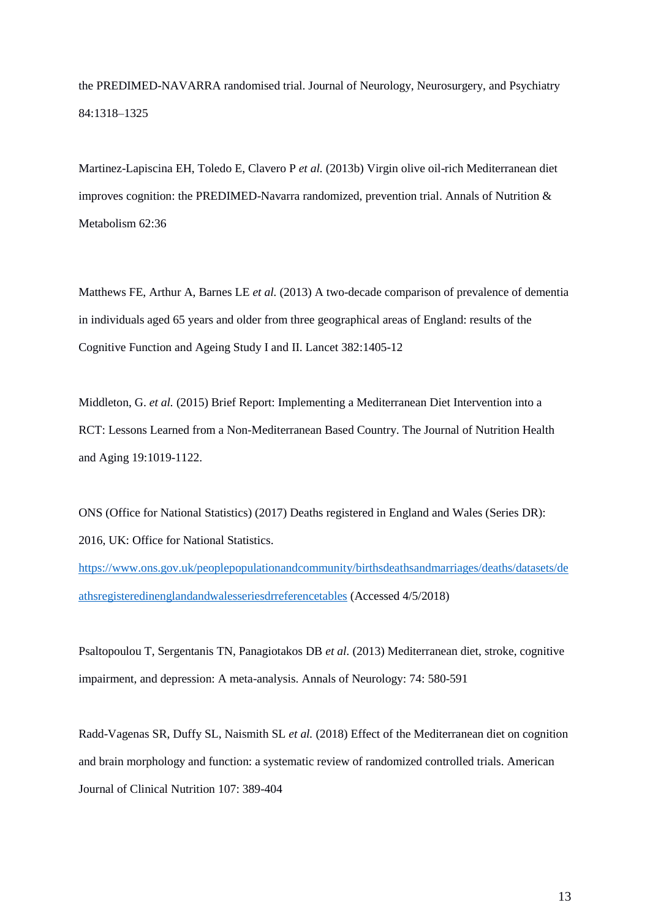the PREDIMED-NAVARRA randomised trial. Journal of Neurology, Neurosurgery, and Psychiatry 84:1318–1325

Martinez-Lapiscina EH, Toledo E, Clavero P *et al.* (2013b) Virgin olive oil-rich Mediterranean diet improves cognition: the PREDIMED-Navarra randomized, prevention trial. Annals of Nutrition & Metabolism 62:36

Matthews FE, Arthur A, Barnes LE *et al.* (2013) A two-decade comparison of prevalence of dementia in individuals aged 65 years and older from three geographical areas of England: results of the Cognitive Function and Ageing Study I and II. Lancet 382:1405-12

Middleton, G. *et al.* (2015) Brief Report: Implementing a Mediterranean Diet Intervention into a RCT: Lessons Learned from a Non-Mediterranean Based Country. The Journal of Nutrition Health and Aging 19:1019-1122.

ONS (Office for National Statistics) (2017) Deaths registered in England and Wales (Series DR): 2016, UK: Office for National Statistics.

[https://www.ons.gov.uk/peoplepopulationandcommunity/birthsdeathsandmarriages/deaths/datasets/de](https://www.ons.gov.uk/peoplepopulationandcommunity/birthsdeathsandmarriages/deaths/datasets/deathsregisteredinenglandandwalesseriesdrreferencetables) [athsregisteredinenglandandwalesseriesdrreferencetables](https://www.ons.gov.uk/peoplepopulationandcommunity/birthsdeathsandmarriages/deaths/datasets/deathsregisteredinenglandandwalesseriesdrreferencetables) (Accessed 4/5/2018)

Psaltopoulou T, Sergentanis TN, Panagiotakos DB *et al.* (2013) Mediterranean diet, stroke, cognitive impairment, and depression: A meta-analysis. Annals of Neurology: 74: 580-591

Radd-Vagenas SR, Duffy SL, Naismith SL *et al.* (2018) Effect of the Mediterranean diet on cognition and brain morphology and function: a systematic review of randomized controlled trials. American Journal of Clinical Nutrition 107: 389-404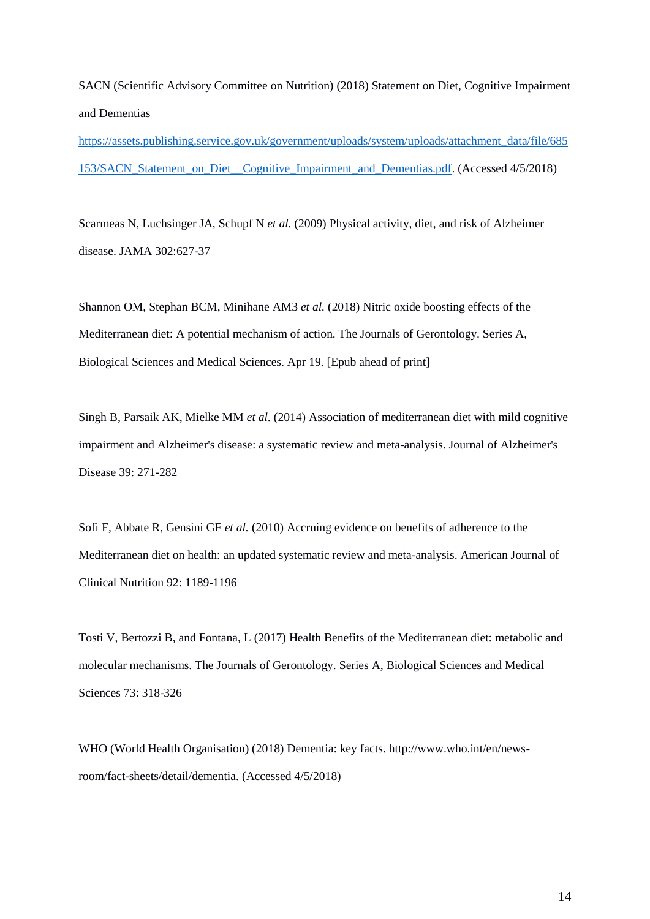SACN (Scientific Advisory Committee on Nutrition) (2018) Statement on Diet, Cognitive Impairment and Dementias

[https://assets.publishing.service.gov.uk/government/uploads/system/uploads/attachment\\_data/file/685](https://assets.publishing.service.gov.uk/government/uploads/system/uploads/attachment_data/file/685153/SACN_Statement_on_Diet__Cognitive_Impairment_and_Dementias.pdf) [153/SACN\\_Statement\\_on\\_Diet\\_\\_Cognitive\\_Impairment\\_and\\_Dementias.pdf.](https://assets.publishing.service.gov.uk/government/uploads/system/uploads/attachment_data/file/685153/SACN_Statement_on_Diet__Cognitive_Impairment_and_Dementias.pdf) (Accessed 4/5/2018)

Scarmeas N, Luchsinger JA, Schupf N *et al.* (2009) Physical activity, diet, and risk of Alzheimer disease. JAMA 302:627-37

Shannon OM, Stephan BCM, Minihane AM3 *et al.* (2018) Nitric oxide boosting effects of the Mediterranean diet: A potential mechanism of action. The Journals of Gerontology. Series A, Biological Sciences and Medical Sciences. Apr 19. [Epub ahead of print]

Singh B, Parsaik AK, Mielke MM *et al.* (2014) Association of mediterranean diet with mild cognitive impairment and Alzheimer's disease: a systematic review and meta-analysis. Journal of Alzheimer's Disease 39: 271-282

Sofi F, Abbate R, Gensini GF *et al.* (2010) Accruing evidence on benefits of adherence to the Mediterranean diet on health: an updated systematic review and meta-analysis. American Journal of Clinical Nutrition 92: 1189-1196

Tosti V, Bertozzi B, and Fontana, L (2017) Health Benefits of the Mediterranean diet: metabolic and molecular mechanisms. The Journals of Gerontology. Series A, Biological Sciences and Medical Sciences 73: 318-326

WHO (World Health Organisation) (2018) Dementia: key facts. http://www.who.int/en/newsroom/fact-sheets/detail/dementia. (Accessed 4/5/2018)